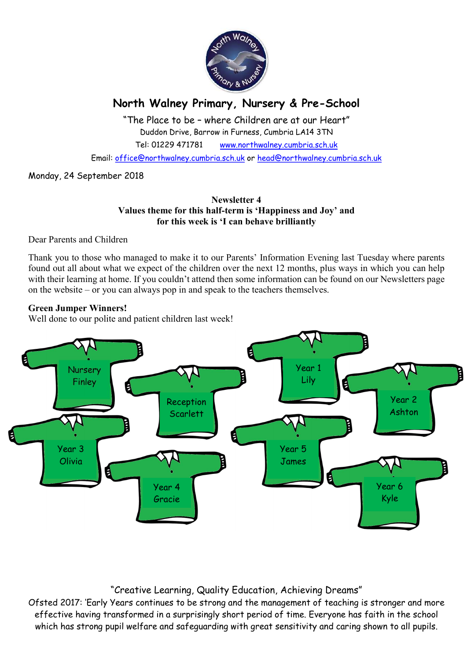

# North Walney Primary, Nursery & Pre-School

"The Place to be – where Children are at our Heart" Duddon Drive, Barrow in Furness, Cumbria LA14 3TN Tel: 01229 471781 www.northwalney.cumbria.sch.uk

Email: office@northwalney.cumbria.sch.uk or head@northwalney.cumbria.sch.uk

Monday, 24 September 2018

#### Newsletter 4 Values theme for this half-term is 'Happiness and Joy' and for this week is 'I can behave brilliantly

Dear Parents and Children

Thank you to those who managed to make it to our Parents' Information Evening last Tuesday where parents found out all about what we expect of the children over the next 12 months, plus ways in which you can help with their learning at home. If you couldn't attend then some information can be found on our Newsletters page on the website – or you can always pop in and speak to the teachers themselves.

#### Green Jumper Winners!

Well done to our polite and patient children last week!



### "Creative Learning, Quality Education, Achieving Dreams"

Ofsted 2017: 'Early Years continues to be strong and the management of teaching is stronger and more effective having transformed in a surprisingly short period of time. Everyone has faith in the school which has strong pupil welfare and safeguarding with great sensitivity and caring shown to all pupils.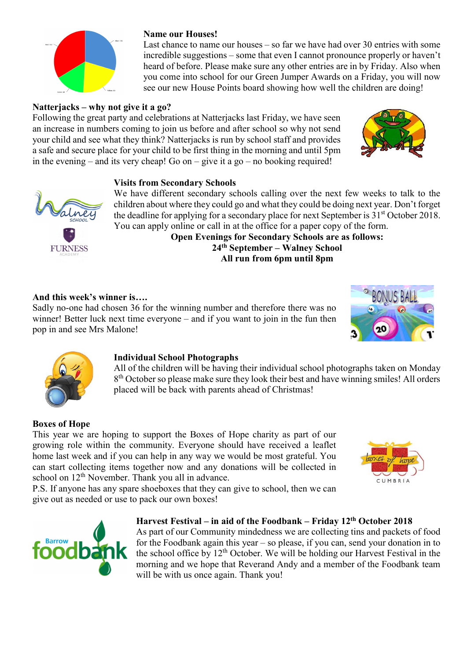

## Natterjacks – why not give it a go?

Following the great party and celebrations at Natterjacks last Friday, we have seen an increase in numbers coming to join us before and after school so why not send your child and see what they think? Natterjacks is run by school staff and provides a safe and secure place for your child to be first thing in the morning and until 5pm in the evening – and its very cheap! Go on – give it a go – no booking required!

Name our Houses!



### Visits from Secondary Schools



We have different secondary schools calling over the next few weeks to talk to the children about where they could go and what they could be doing next year. Don't forget the deadline for applying for a secondary place for next September is  $31<sup>st</sup>$  October 2018. You can apply online or call in at the office for a paper copy of the form.

Last chance to name our houses – so far we have had over 30 entries with some incredible suggestions – some that even I cannot pronounce properly or haven't heard of before. Please make sure any other entries are in by Friday. Also when you come into school for our Green Jumper Awards on a Friday, you will now see our new House Points board showing how well the children are doing!

Open Evenings for Secondary Schools are as follows: 24th September – Walney School All run from 6pm until 8pm

#### And this week's winner is….

Sadly no-one had chosen 36 for the winning number and therefore there was no winner! Better luck next time everyone – and if you want to join in the fun then pop in and see Mrs Malone!





### Individual School Photographs

All of the children will be having their individual school photographs taken on Monday 8<sup>th</sup> October so please make sure they look their best and have winning smiles! All orders placed will be back with parents ahead of Christmas!

### Boxes of Hope

This year we are hoping to support the Boxes of Hope charity as part of our growing role within the community. Everyone should have received a leaflet home last week and if you can help in any way we would be most grateful. You can start collecting items together now and any donations will be collected in school on 12<sup>th</sup> November. Thank you all in advance.

P.S. If anyone has any spare shoeboxes that they can give to school, then we can give out as needed or use to pack our own boxes!





#### Harvest Festival – in aid of the Foodbank – Friday 12th October 2018

As part of our Community mindedness we are collecting tins and packets of food for the Foodbank again this year – so please, if you can, send your donation in to the school office by  $12<sup>th</sup>$  October. We will be holding our Harvest Festival in the morning and we hope that Reverand Andy and a member of the Foodbank team will be with us once again. Thank you!